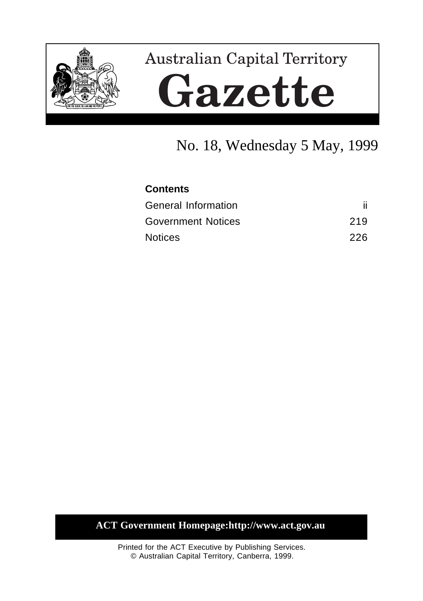

# **Australian Capital Territory** Gazette

# No. 18, Wednesday 5 May, 1999

#### **Contents**

| <b>General Information</b> |      |
|----------------------------|------|
| <b>Government Notices</b>  | 219  |
| <b>Notices</b>             | -226 |

**ACT Government Homepage:http://www.act.gov.au**

Printed for the ACT Executive by Publishing Services. © Australian Capital Territory, Canberra, 1999.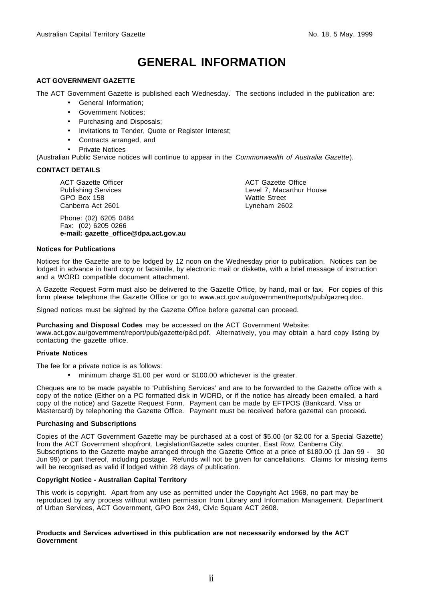# **GENERAL INFORMATION**

#### <span id="page-1-0"></span>**ACT GOVERNMENT GAZETTE**

The ACT Government Gazette is published each Wednesday. The sections included in the publication are:

- General Information;
- Government Notices;
- Purchasing and Disposals;
- Invitations to Tender, Quote or Register Interest;
- Contracts arranged, and
- **Private Notices**

(Australian Public Service notices will continue to appear in the Commonwealth of Australia Gazette).

#### **CONTACT DETAILS**

ACT Gazette Officer Publishing Services GPO Box 158 Canberra Act 2601

Phone: (02) 6205 0484 Fax: (02) 6205 0266 **e-mail: gazette\_office@dpa.act.gov.au** ACT Gazette Office Level 7, Macarthur House Wattle Street Lyneham 2602

#### **Notices for Publications**

Notices for the Gazette are to be lodged by 12 noon on the Wednesday prior to publication. Notices can be lodged in advance in hard copy or facsimile, by electronic mail or diskette, with a brief message of instruction and a WORD compatible document attachment.

A Gazette Request Form must also be delivered to the Gazette Office, by hand, mail or fax. For copies of this form please telephone the Gazette Office or go to www.act.gov.au/government/reports/pub/gazreq.doc.

Signed notices must be sighted by the Gazette Office before gazettal can proceed.

#### **Purchasing and Disposal Codes** may be accessed on the ACT Government Website:

www.act.gov.au/government/report/pub/gazette/p&d.pdf. Alternatively, you may obtain a hard copy listing by contacting the gazette office.

#### **Private Notices**

The fee for a private notice is as follows:

• minimum charge \$1.00 per word or \$100.00 whichever is the greater.

Cheques are to be made payable to 'Publishing Services' and are to be forwarded to the Gazette office with a copy of the notice (Either on a PC formatted disk in WORD, or if the notice has already been emailed, a hard copy of the notice) and Gazette Request Form. Payment can be made by EFTPOS (Bankcard, Visa or Mastercard) by telephoning the Gazette Office. Payment must be received before gazettal can proceed.

#### **Purchasing and Subscriptions**

Copies of the ACT Government Gazette may be purchased at a cost of \$5.00 (or \$2.00 for a Special Gazette) from the ACT Government shopfront, Legislation/Gazette sales counter, East Row, Canberra City. Subscriptions to the Gazette maybe arranged through the Gazette Office at a price of \$180.00 (1 Jan 99 - 30 Jun 99) or part thereof, including postage. Refunds will not be given for cancellations. Claims for missing items will be recognised as valid if lodged within 28 days of publication.

#### **Copyright Notice - Australian Capital Territory**

This work is copyright. Apart from any use as permitted under the Copyright Act 1968, no part may be reproduced by any process without written permission from Library and Information Management, Department of Urban Services, ACT Government, GPO Box 249, Civic Square ACT 2608.

#### **Products and Services advertised in this publication are not necessarily endorsed by the ACT Government**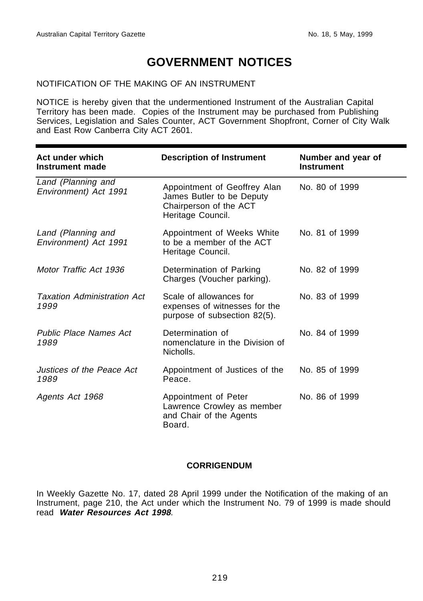# **GOVERNMENT NOTICES**

#### <span id="page-2-0"></span>NOTIFICATION OF THE MAKING OF AN INSTRUMENT

NOTICE is hereby given that the undermentioned Instrument of the Australian Capital Territory has been made. Copies of the Instrument may be purchased from Publishing Services, Legislation and Sales Counter, ACT Government Shopfront, Corner of City Walk and East Row Canberra City ACT 2601.

| Act under which<br><b>Description of Instrument</b><br>Instrument made |                                                                                                          | Number and year of<br><b>Instrument</b> |  |
|------------------------------------------------------------------------|----------------------------------------------------------------------------------------------------------|-----------------------------------------|--|
| Land (Planning and<br>Environment) Act 1991                            | Appointment of Geoffrey Alan<br>James Butler to be Deputy<br>Chairperson of the ACT<br>Heritage Council. | No. 80 of 1999                          |  |
| Land (Planning and<br>Environment) Act 1991                            | Appointment of Weeks White<br>to be a member of the ACT<br>Heritage Council.                             | No. 81 of 1999                          |  |
| Motor Traffic Act 1936                                                 | Determination of Parking<br>Charges (Voucher parking).                                                   | No. 82 of 1999                          |  |
| <b>Taxation Administration Act</b><br>1999                             | Scale of allowances for<br>expenses of witnesses for the<br>purpose of subsection 82(5).                 | No. 83 of 1999                          |  |
| <b>Public Place Names Act</b><br>1989                                  | Determination of<br>nomenclature in the Division of<br>Nicholls.                                         | No. 84 of 1999                          |  |
| Justices of the Peace Act<br>1989                                      | Appointment of Justices of the<br>Peace.                                                                 | No. 85 of 1999                          |  |
| Agents Act 1968                                                        | Appointment of Peter<br>Lawrence Crowley as member<br>and Chair of the Agents<br>Board.                  | No. 86 of 1999                          |  |

#### **CORRIGENDUM**

In Weekly Gazette No. 17, dated 28 April 1999 under the Notification of the making of an Instrument, page 210, the Act under which the Instrument No. 79 of 1999 is made should read **Water Resources Act 1998**.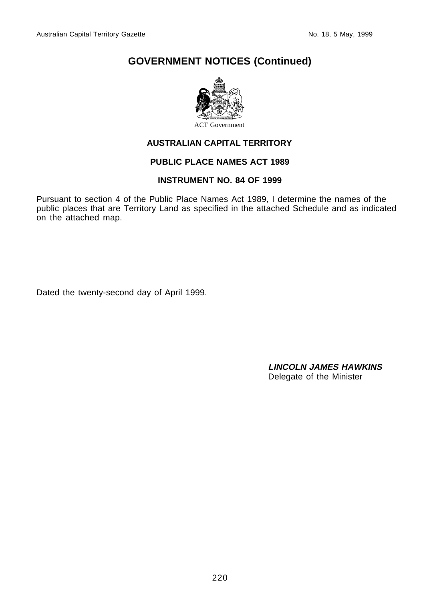

#### **AUSTRALIAN CAPITAL TERRITORY**

#### **PUBLIC PLACE NAMES ACT 1989**

#### **INSTRUMENT NO. 84 OF 1999**

Pursuant to section 4 of the Public Place Names Act 1989, I determine the names of the public places that are Territory Land as specified in the attached Schedule and as indicated on the attached map.

Dated the twenty-second day of April 1999.

**LINCOLN JAMES HAWKINS** Delegate of the Minister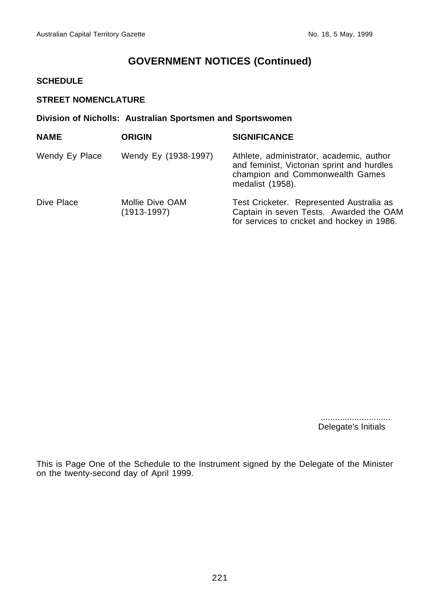#### **SCHEDULE**

#### **STREET NOMENCLATURE**

#### **Division of Nicholls: Australian Sportsmen and Sportswomen**

| <b>NAME</b>    | <b>ORIGIN</b>                      | <b>SIGNIFICANCE</b>                                                                                                                           |
|----------------|------------------------------------|-----------------------------------------------------------------------------------------------------------------------------------------------|
| Wendy Ey Place | Wendy Ey (1938-1997)               | Athlete, administrator, academic, author<br>and feminist, Victorian sprint and hurdles<br>champion and Commonwealth Games<br>medalist (1958). |
| Dive Place     | Mollie Dive OAM<br>$(1913 - 1997)$ | Test Cricketer. Represented Australia as<br>Captain in seven Tests. Awarded the OAM<br>for services to cricket and hockey in 1986.            |

 ............................. Delegate's Initials

This is Page One of the Schedule to the Instrument signed by the Delegate of the Minister on the twenty-second day of April 1999.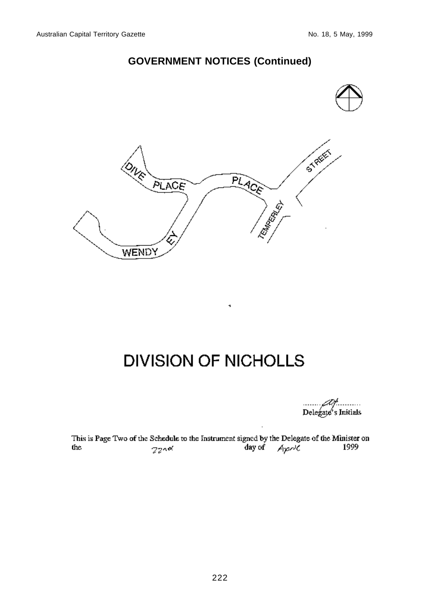

# **DIVISION OF NICHOLLS**

Delegate's Initials

This is Page Two of the Schedule to the Instrument signed by the Delegate of the Minister on<br>  $\frac{220 \text{ eV}}{2}$  and<br>  $\frac{1999}{2}$  $2200$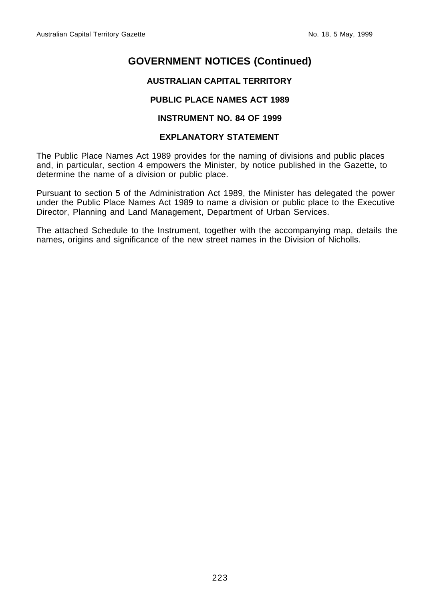#### **AUSTRALIAN CAPITAL TERRITORY**

#### **PUBLIC PLACE NAMES ACT 1989**

#### **INSTRUMENT NO. 84 OF 1999**

#### **EXPLANATORY STATEMENT**

The Public Place Names Act 1989 provides for the naming of divisions and public places and, in particular, section 4 empowers the Minister, by notice published in the Gazette, to determine the name of a division or public place.

Pursuant to section 5 of the Administration Act 1989, the Minister has delegated the power under the Public Place Names Act 1989 to name a division or public place to the Executive Director, Planning and Land Management, Department of Urban Services.

The attached Schedule to the Instrument, together with the accompanying map, details the names, origins and significance of the new street names in the Division of Nicholls.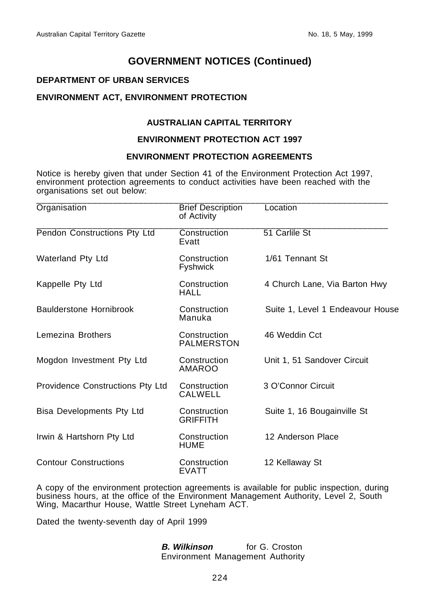#### **DEPARTMENT OF URBAN SERVICES**

#### **ENVIRONMENT ACT, ENVIRONMENT PROTECTION**

#### **AUSTRALIAN CAPITAL TERRITORY**

#### **ENVIRONMENT PROTECTION ACT 1997**

#### **ENVIRONMENT PROTECTION AGREEMENTS**

Notice is hereby given that under Section 41 of the Environment Protection Act 1997, environment protection agreements to conduct activities have been reached with the organisations set out below:

| Organisation                     | <b>Brief Description</b><br>of Activity | Location                         |  |
|----------------------------------|-----------------------------------------|----------------------------------|--|
| Pendon Constructions Pty Ltd     | Construction<br>Evatt                   | 51 Carlile St                    |  |
| Waterland Pty Ltd                | Construction<br><b>Fyshwick</b>         | 1/61 Tennant St                  |  |
| Kappelle Pty Ltd                 | Construction<br><b>HALL</b>             | 4 Church Lane, Via Barton Hwy    |  |
| <b>Baulderstone Hornibrook</b>   | Construction<br>Manuka                  | Suite 1, Level 1 Endeavour House |  |
| Lemezina Brothers                | Construction<br><b>PALMERSTON</b>       | 46 Weddin Cct                    |  |
| Mogdon Investment Pty Ltd        | Construction<br><b>AMAROO</b>           | Unit 1, 51 Sandover Circuit      |  |
| Providence Constructions Pty Ltd | Construction<br>CALWELL                 | 3 O'Connor Circuit               |  |
| Bisa Developments Pty Ltd        | Construction<br><b>GRIFFITH</b>         | Suite 1, 16 Bougainville St      |  |
| Irwin & Hartshorn Pty Ltd        | Construction<br>HUME                    | 12 Anderson Place                |  |
| <b>Contour Constructions</b>     | Construction<br><b>EVATT</b>            | 12 Kellaway St                   |  |

A copy of the environment protection agreements is available for public inspection, during business hours, at the office of the Environment Management Authority, Level 2, South Wing, Macarthur House, Wattle Street Lyneham ACT.

Dated the twenty-seventh day of April 1999

**B. Wilkinson for G. Croston** Environment Management Authority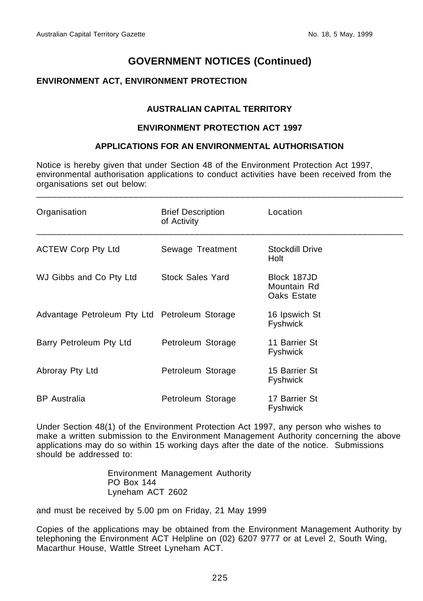#### **ENVIRONMENT ACT, ENVIRONMENT PROTECTION**

#### **AUSTRALIAN CAPITAL TERRITORY**

#### **ENVIRONMENT PROTECTION ACT 1997**

#### **APPLICATIONS FOR AN ENVIRONMENTAL AUTHORISATION**

Notice is hereby given that under Section 48 of the Environment Protection Act 1997, environmental authorisation applications to conduct activities have been received from the organisations set out below:

\_\_\_\_\_\_\_\_\_\_\_\_\_\_\_\_\_\_\_\_\_\_\_\_\_\_\_\_\_\_\_\_\_\_\_\_\_\_\_\_\_\_\_\_\_\_\_\_\_\_\_\_\_\_\_\_\_\_\_\_\_\_\_\_\_\_\_\_\_\_\_\_

| Organisation                                  | <b>Brief Description</b><br>of Activity | Location                                  |
|-----------------------------------------------|-----------------------------------------|-------------------------------------------|
| <b>ACTEW Corp Pty Ltd</b>                     | Sewage Treatment                        | Stockdill Drive<br>Holt                   |
| WJ Gibbs and Co Pty Ltd                       | <b>Stock Sales Yard</b>                 | Block 187JD<br>Mountain Rd<br>Oaks Estate |
| Advantage Petroleum Pty Ltd Petroleum Storage |                                         | 16 Ipswich St<br><b>Fyshwick</b>          |
| Barry Petroleum Pty Ltd                       | Petroleum Storage                       | 11 Barrier St<br>Fyshwick                 |
| Abroray Pty Ltd                               | Petroleum Storage                       | 15 Barrier St<br>Fyshwick                 |
| <b>BP</b> Australia                           | Petroleum Storage                       | 17 Barrier St<br>Fyshwick                 |

Under Section 48(1) of the Environment Protection Act 1997, any person who wishes to make a written submission to the Environment Management Authority concerning the above applications may do so within 15 working days after the date of the notice. Submissions should be addressed to:

> Environment Management Authority PO Box 144 Lyneham ACT 2602

and must be received by 5.00 pm on Friday, 21 May 1999

Copies of the applications may be obtained from the Environment Management Authority by telephoning the Environment ACT Helpline on (02) 6207 9777 or at Level 2, South Wing, Macarthur House, Wattle Street Lyneham ACT.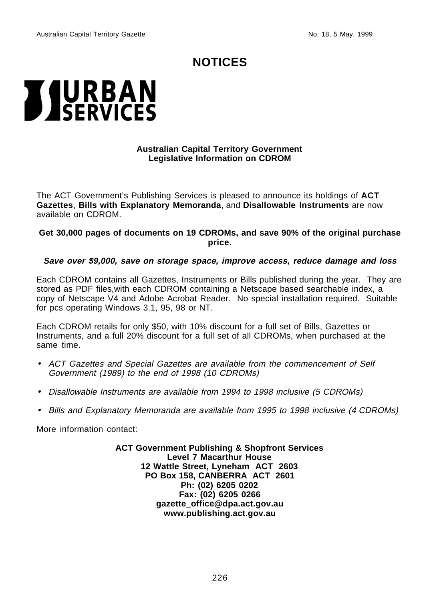# **NOTICES**

# <span id="page-9-0"></span>**TJURBAN**<br>**ASERVICES**

#### **Australian Capital Territory Government Legislative Information on CDROM**

The ACT Government's Publishing Services is pleased to announce its holdings of **ACT Gazettes**, **Bills with Explanatory Memoranda**, and **Disallowable Instruments** are now available on CDROM.

#### **Get 30,000 pages of documents on 19 CDROMs, and save 90% of the original purchase price.**

#### **Save over \$9,000, save on storage space, improve access, reduce damage and loss**

Each CDROM contains all Gazettes, Instruments or Bills published during the year. They are stored as PDF files,with each CDROM containing a Netscape based searchable index, a copy of Netscape V4 and Adobe Acrobat Reader. No special installation required. Suitable for pcs operating Windows 3.1, 95, 98 or NT.

Each CDROM retails for only \$50, with 10% discount for a full set of Bills, Gazettes or Instruments, and a full 20% discount for a full set of all CDROMs, when purchased at the same time.

- ACT Gazettes and Special Gazettes are available from the commencement of Self Government (1989) to the end of 1998 (10 CDROMs)
- Disallowable Instruments are available from 1994 to 1998 inclusive (5 CDROMs)
- Bills and Explanatory Memoranda are available from 1995 to 1998 inclusive (4 CDROMs)

More information contact:

**ACT Government Publishing & Shopfront Services Level 7 Macarthur House 12 Wattle Street, Lyneham ACT 2603 PO Box 158, CANBERRA ACT 2601 Ph: (02) 6205 0202 Fax: (02) 6205 0266 gazette\_office@dpa.act.gov.au www.publishing.act.gov.au**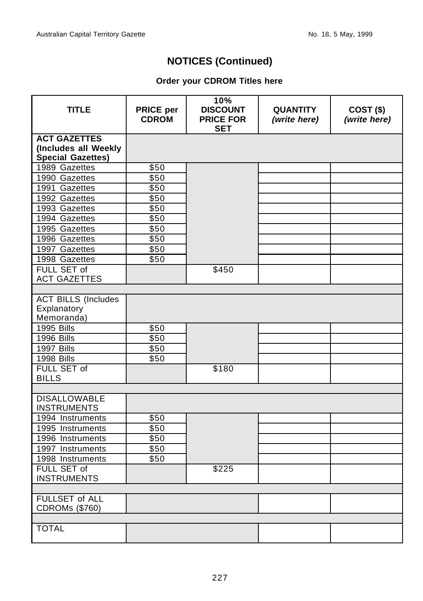# **NOTICES (Continued)**

#### **Order your CDROM Titles here**

| <b>TITLE</b>                                                            | <b>PRICE per</b><br><b>CDROM</b> | 10%<br><b>DISCOUNT</b><br><b>PRICE FOR</b><br><b>SET</b> | <b>QUANTITY</b><br>(write here) | $COST($ \$)<br>(write here) |
|-------------------------------------------------------------------------|----------------------------------|----------------------------------------------------------|---------------------------------|-----------------------------|
| <b>ACT GAZETTES</b><br>(Includes all Weekly<br><b>Special Gazettes)</b> |                                  |                                                          |                                 |                             |
| 1989 Gazettes                                                           | \$50                             |                                                          |                                 |                             |
| 1990 Gazettes                                                           | \$50                             |                                                          |                                 |                             |
| 1991 Gazettes                                                           | \$50                             |                                                          |                                 |                             |
| 1992 Gazettes                                                           | \$50                             |                                                          |                                 |                             |
| 1993 Gazettes                                                           | \$50                             |                                                          |                                 |                             |
| 1994 Gazettes                                                           | \$50                             |                                                          |                                 |                             |
| 1995 Gazettes                                                           | \$50                             |                                                          |                                 |                             |
| 1996 Gazettes                                                           | \$50                             |                                                          |                                 |                             |
| 1997 Gazettes                                                           | \$50                             |                                                          |                                 |                             |
| 1998 Gazettes                                                           | \$50                             |                                                          |                                 |                             |
| <b>FULL SET of</b>                                                      |                                  | \$450                                                    |                                 |                             |
| <b>ACT GAZETTES</b>                                                     |                                  |                                                          |                                 |                             |
|                                                                         |                                  |                                                          |                                 |                             |
| <b>ACT BILLS (Includes</b>                                              |                                  |                                                          |                                 |                             |
| Explanatory                                                             |                                  |                                                          |                                 |                             |
| Memoranda)                                                              |                                  |                                                          |                                 |                             |
| <b>1995 Bills</b>                                                       | \$50                             |                                                          |                                 |                             |
| 1996 Bills                                                              | \$50                             |                                                          |                                 |                             |
| 1997 Bills                                                              | \$50                             |                                                          |                                 |                             |
| 1998 Bills                                                              | \$50                             |                                                          |                                 |                             |
| FULL SET of                                                             |                                  | \$180                                                    |                                 |                             |
| <b>BILLS</b>                                                            |                                  |                                                          |                                 |                             |
|                                                                         |                                  |                                                          |                                 |                             |
| <b>DISALLOWABLE</b><br><b>INSTRUMENTS</b>                               |                                  |                                                          |                                 |                             |
| 1994 Instruments                                                        | \$50                             |                                                          |                                 |                             |
| 1995 Instruments                                                        | \$50                             |                                                          |                                 |                             |
| 1996 Instruments                                                        | \$50                             |                                                          |                                 |                             |
| 1997 Instruments                                                        | \$50                             |                                                          |                                 |                             |
| 1998 Instruments                                                        | \$50                             |                                                          |                                 |                             |
| FULL SET of<br><b>INSTRUMENTS</b>                                       |                                  | \$225                                                    |                                 |                             |
|                                                                         |                                  |                                                          |                                 |                             |
| <b>FULLSET of ALL</b><br><b>CDROMs (\$760)</b>                          |                                  |                                                          |                                 |                             |
|                                                                         |                                  |                                                          |                                 |                             |
| <b>TOTAL</b>                                                            |                                  |                                                          |                                 |                             |